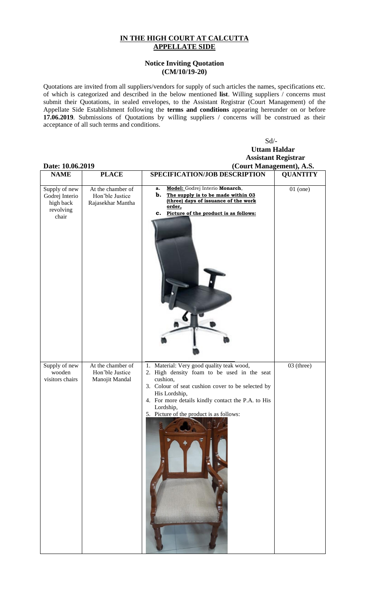## **IN THE HIGH COURT AT CALCUTTA APPELLATE SIDE**

## **Notice Inviting Quotation (CM/10/19-20)**

Quotations are invited from all suppliers/vendors for supply of such articles the names, specifications etc. of which is categorized and described in the below mentioned **list**. Willing suppliers / concerns must submit their Quotations, in sealed envelopes, to the Assistant Registrar (Court Management) of the Appellate Side Establishment following the **terms and conditions** appearing hereunder on or before **17.06.2019**. Submissions of Quotations by willing suppliers / concerns will be construed as their acceptance of all such terms and conditions.

## Sd/- **Uttam Haldar Assistant Registrar**

| Date: 10.06.2019                                                   |                                                           | (Court Management), A.S.                                                                                                                                                                                                                                                                  |                 |
|--------------------------------------------------------------------|-----------------------------------------------------------|-------------------------------------------------------------------------------------------------------------------------------------------------------------------------------------------------------------------------------------------------------------------------------------------|-----------------|
| <b>NAME</b>                                                        | <b>PLACE</b>                                              | SPECIFICATION/JOB DESCRIPTION                                                                                                                                                                                                                                                             | <b>QUANTITY</b> |
| Supply of new<br>Godrej Interio<br>high back<br>revolving<br>chair | At the chamber of<br>Hon'ble Justice<br>Rajasekhar Mantha | Model: Godrej Interio Monarch,<br>a.<br>b.<br>The supply is to be made within 03<br>(three) days of issuance of the work<br>order,<br>c. Picture of the product is as follows:                                                                                                            | $01$ (one)      |
| Supply of new<br>wooden<br>visitors chairs                         | At the chamber of<br>Hon'ble Justice<br>Manojit Mandal    | 1. Material: Very good quality teak wood,<br>2. High density foam to be used in the seat<br>cushion,<br>3. Colour of seat cushion cover to be selected by<br>His Lordship,<br>4. For more details kindly contact the P.A. to His<br>Lordship,<br>5. Picture of the product is as follows: | $03$ (three)    |